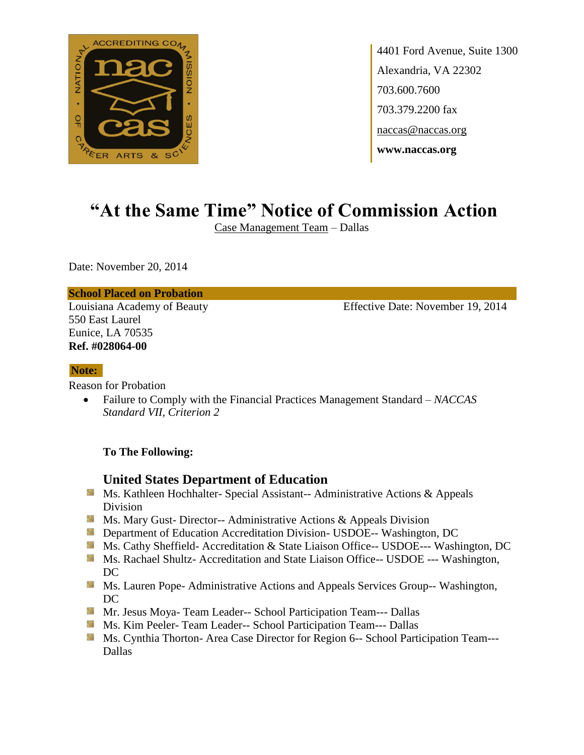

4401 Ford Avenue, Suite 1300 Alexandria, VA 22302 703.600.7600 703.379.2200 fax naccas@naccas.org **www.naccas.org**

# **"At the Same Time" Notice of Commission Action**

Case Management Team – Dallas

Date: November 20, 2014

### **School Placed on Probation**

550 East Laurel Eunice, LA 70535 **Ref. #028064-00**

Louisiana Academy of Beauty Effective Date: November 19, 2014

#### **Note:**

Reason for Probation

 Failure to Comply with the Financial Practices Management Standard – *NACCAS Standard VII, Criterion 2*

### **To The Following:**

## **United States Department of Education**

- Ms. Kathleen Hochhalter- Special Assistant-- Administrative Actions & Appeals Division
- **MS. Mary Gust- Director-- Administrative Actions & Appeals Division**
- **Department of Education Accreditation Division- USDOE-- Washington, DC**
- Ms. Cathy Sheffield- Accreditation & State Liaison Office-- USDOE--- Washington, DC
- Ms. Rachael Shultz- Accreditation and State Liaison Office-- USDOE --- Washington, DC
- **MS. Lauren Pope- Administrative Actions and Appeals Services Group-- Washington,** DC
- Mr. Jesus Moya- Team Leader-- School Participation Team--- Dallas
- **Ms. Kim Peeler- Team Leader-- School Participation Team--- Dallas**
- Ms. Cynthia Thorton- Area Case Director for Region 6-- School Participation Team---Dallas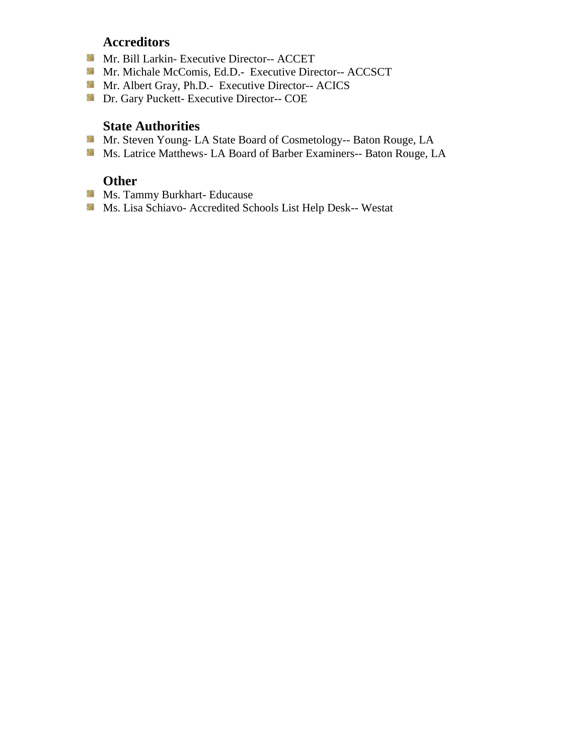## **Accreditors**

- Mr. Bill Larkin- Executive Director-- ACCET
- Mr. Michale McComis, Ed.D.- Executive Director-- ACCSCT
- Mr. Albert Gray, Ph.D.- Executive Director-- ACICS
- Dr. Gary Puckett- Executive Director-- COE

## **State Authorities**

- Mr. Steven Young- LA State Board of Cosmetology-- Baton Rouge, LA
- Ms. Latrice Matthews- LA Board of Barber Examiners-- Baton Rouge, LA

# **Other**

- **Ms. Tammy Burkhart- Educause**
- Ms. Lisa Schiavo- Accredited Schools List Help Desk-- Westat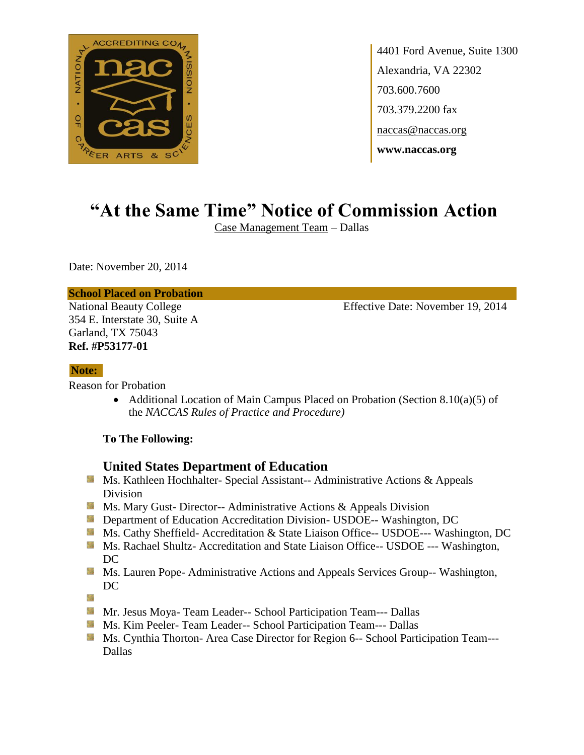

4401 Ford Avenue, Suite 1300 Alexandria, VA 22302 703.600.7600 703.379.2200 fax naccas@naccas.org **www.naccas.org**

# **"At the Same Time" Notice of Commission Action**

Case Management Team – Dallas

Date: November 20, 2014

### **School Placed on Probation**

354 E. Interstate 30, Suite A Garland, TX 75043 **Ref. #P53177-01**

National Beauty College Effective Date: November 19, 2014

### **Note:**

Reason for Probation

• Additional Location of Main Campus Placed on Probation (Section 8.10(a)(5) of the *NACCAS Rules of Practice and Procedure)*

## **To The Following:**

## **United States Department of Education**

- **Ms. Kathleen Hochhalter- Special Assistant-- Administrative Actions & Appeals** Division
- **Ms.** Ms. Mary Gust- Director-- Administrative Actions  $\&$  Appeals Division
- **Department of Education Accreditation Division- USDOE-- Washington, DC**
- Ms. Cathy Sheffield- Accreditation & State Liaison Office-- USDOE--- Washington, DC
- **Ms. Rachael Shultz- Accreditation and State Liaison Office-- USDOE --- Washington,** DC
- **Ms. Lauren Pope- Administrative Actions and Appeals Services Group-- Washington,** DC

簿

- **Mr. Jesus Moya- Team Leader-- School Participation Team--- Dallas**
- **Ms. Kim Peeler- Team Leader-- School Participation Team--- Dallas**
- Ms. Cynthia Thorton- Area Case Director for Region 6-- School Participation Team---Dallas